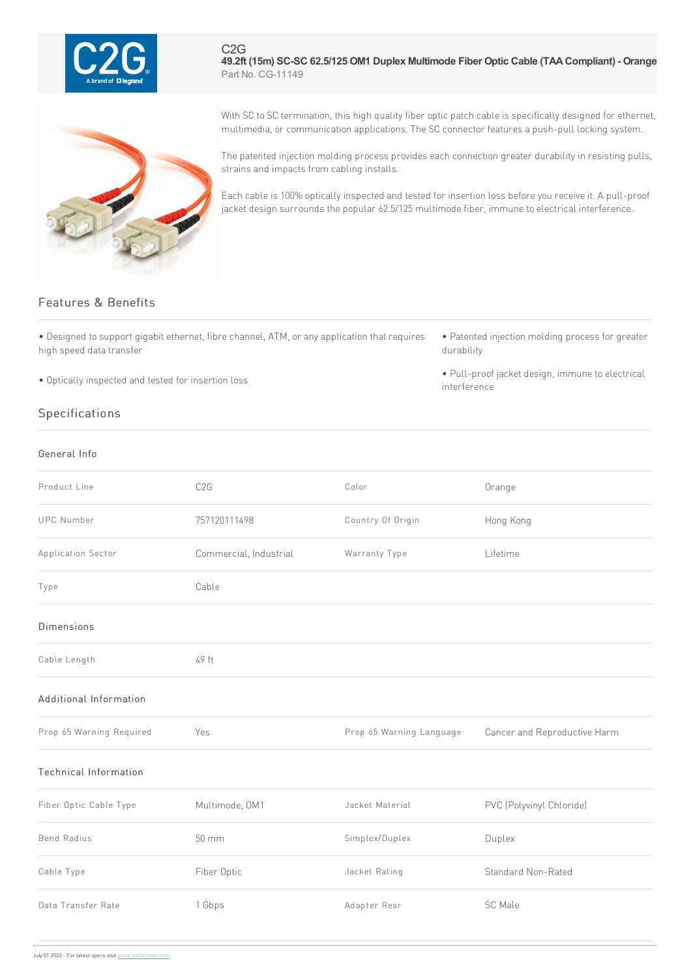

C2G **49.2ft (15m) SC-SC 62.5/125 OM1 Duplex Multimode Fiber Optic Cable (TAACompliant) - Orange** Part No. CG-11149



With SC to SC termination, this high quality fiber optic patch cable is specifically designed for ethernet, multimedia, or communication applications. The SC connector features a push-pull locking system.

The patented injection molding process provides each connection greater durability in resisting pulls, strains and impacts from cabling installs.

Each cable is 100% optically inspected and tested for insertion loss before you receive it. A pull-proof jacket design surrounds the popular 62.5/125 multimode fiber, immune to electrical interference.

## Features & Benefits

• Designed to support gigabit ethernet, fibre channel, ATM, or any application that requires high speed data transfer

• Optically inspected and tested for insertion loss

## Specifications

## General Info

• Patented injection molding process for greater durability

• Pull-proof jacket design, immune to electrical interference

| Product Line                 | C <sub>2</sub> G       | Color                    | Orange                       |
|------------------------------|------------------------|--------------------------|------------------------------|
| <b>UPC Number</b>            | 757120111498           | Country Of Origin        | Hong Kong                    |
| Application Sector           | Commercial, Industrial | Warranty Type            | Lifetime                     |
| Type                         | Cable                  |                          |                              |
| <b>Dimensions</b>            |                        |                          |                              |
| Cable Length                 | 49 ft                  |                          |                              |
| Additional Information       |                        |                          |                              |
| Prop 65 Warning Required     | Yes                    | Prop 65 Warning Language | Cancer and Reproductive Harm |
| <b>Technical Information</b> |                        |                          |                              |
| Fiber Optic Cable Type       | Multimode, OM1         | Jacket Material          | PVC (Polyvinyl Chloride)     |
| <b>Bend Radius</b>           | $50 \text{ mm}$        | Simplex/Duplex           | Duplex                       |
| Cable Type                   | Fiber Optic            | Jacket Rating            | Standard Non-Rated           |
| Data Transfer Rate           | 1 Gbps                 | Adapter Rear             | SC Male                      |